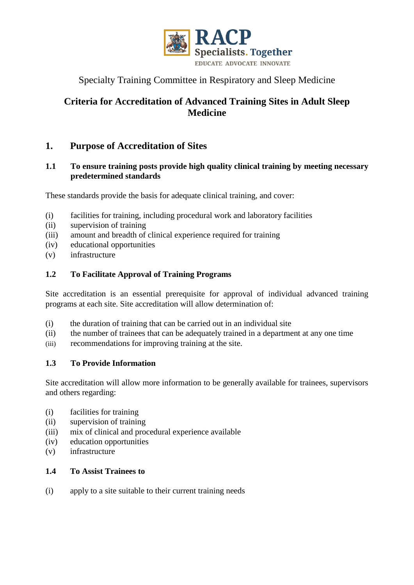

# Specialty Training Committee in Respiratory and Sleep Medicine

# **Criteria for Accreditation of Advanced Training Sites in Adult Sleep Medicine**

# **1. Purpose of Accreditation of Sites**

# **1.1 To ensure training posts provide high quality clinical training by meeting necessary predetermined standards**

These standards provide the basis for adequate clinical training, and cover:

- (i) facilities for training, including procedural work and laboratory facilities
- (ii) supervision of training
- (iii) amount and breadth of clinical experience required for training
- (iv) educational opportunities
- (v) infrastructure

# **1.2 To Facilitate Approval of Training Programs**

Site accreditation is an essential prerequisite for approval of individual advanced training programs at each site. Site accreditation will allow determination of:

- (i) the duration of training that can be carried out in an individual site
- (ii) the number of trainees that can be adequately trained in a department at any one time
- (iii) recommendations for improving training at the site.

# **1.3 To Provide Information**

Site accreditation will allow more information to be generally available for trainees, supervisors and others regarding:

- (i) facilities for training
- (ii) supervision of training
- (iii) mix of clinical and procedural experience available
- (iv) education opportunities
- (v) infrastructure

# **1.4 To Assist Trainees to**

(i) apply to a site suitable to their current training needs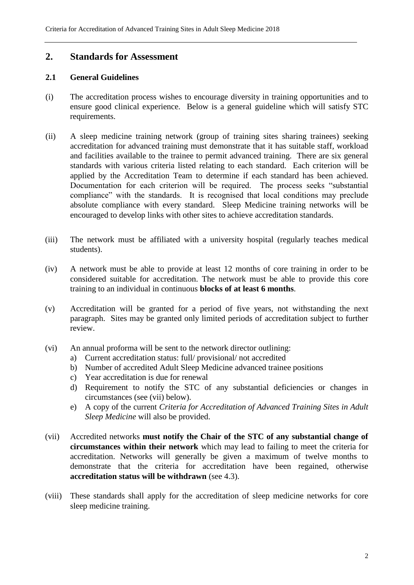# **2. Standards for Assessment**

# **2.1 General Guidelines**

- (i) The accreditation process wishes to encourage diversity in training opportunities and to ensure good clinical experience. Below is a general guideline which will satisfy STC requirements.
- (ii) A sleep medicine training network (group of training sites sharing trainees) seeking accreditation for advanced training must demonstrate that it has suitable staff, workload and facilities available to the trainee to permit advanced training. There are six general standards with various criteria listed relating to each standard. Each criterion will be applied by the Accreditation Team to determine if each standard has been achieved. Documentation for each criterion will be required. The process seeks "substantial compliance" with the standards. It is recognised that local conditions may preclude absolute compliance with every standard. Sleep Medicine training networks will be encouraged to develop links with other sites to achieve accreditation standards.
- (iii) The network must be affiliated with a university hospital (regularly teaches medical students).
- (iv) A network must be able to provide at least 12 months of core training in order to be considered suitable for accreditation. The network must be able to provide this core training to an individual in continuous **blocks of at least 6 months**.
- (v) Accreditation will be granted for a period of five years, not withstanding the next paragraph. Sites may be granted only limited periods of accreditation subject to further review.
- (vi) An annual proforma will be sent to the network director outlining:
	- a) Current accreditation status: full/ provisional/ not accredited
	- b) Number of accredited Adult Sleep Medicine advanced trainee positions
	- c) Year accreditation is due for renewal
	- d) Requirement to notify the STC of any substantial deficiencies or changes in circumstances (see (vii) below).
	- e) A copy of the current *Criteria for Accreditation of Advanced Training Sites in Adult Sleep Medicine* will also be provided.
- (vii) Accredited networks **must notify the Chair of the STC of any substantial change of circumstances within their network** which may lead to failing to meet the criteria for accreditation. Networks will generally be given a maximum of twelve months to demonstrate that the criteria for accreditation have been regained, otherwise **accreditation status will be withdrawn** (see 4.3).
- (viii) These standards shall apply for the accreditation of sleep medicine networks for core sleep medicine training.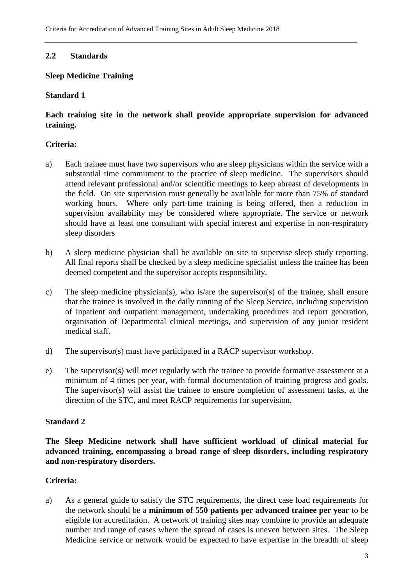# **2.2 Standards**

# **Sleep Medicine Training**

# **Standard 1**

# **Each training site in the network shall provide appropriate supervision for advanced training.**

# **Criteria:**

- a) Each trainee must have two supervisors who are sleep physicians within the service with a substantial time commitment to the practice of sleep medicine. The supervisors should attend relevant professional and/or scientific meetings to keep abreast of developments in the field. On site supervision must generally be available for more than 75% of standard working hours. Where only part-time training is being offered, then a reduction in supervision availability may be considered where appropriate. The service or network should have at least one consultant with special interest and expertise in non-respiratory sleep disorders
- b) A sleep medicine physician shall be available on site to supervise sleep study reporting. All final reports shall be checked by a sleep medicine specialist unless the trainee has been deemed competent and the supervisor accepts responsibility.
- c) The sleep medicine physician(s), who is/are the supervisor(s) of the trainee, shall ensure that the trainee is involved in the daily running of the Sleep Service, including supervision of inpatient and outpatient management, undertaking procedures and report generation, organisation of Departmental clinical meetings, and supervision of any junior resident medical staff.
- d) The supervisor(s) must have participated in a RACP supervisor workshop.
- e) The supervisor(s) will meet regularly with the trainee to provide formative assessment at a minimum of 4 times per year, with formal documentation of training progress and goals. The supervisor(s) will assist the trainee to ensure completion of assessment tasks, at the direction of the STC, and meet RACP requirements for supervision.

# **Standard 2**

**The Sleep Medicine network shall have sufficient workload of clinical material for advanced training, encompassing a broad range of sleep disorders, including respiratory and non-respiratory disorders.** 

# **Criteria:**

a) As a general guide to satisfy the STC requirements, the direct case load requirements for the network should be a **minimum of 550 patients per advanced trainee per year** to be eligible for accreditation. A network of training sites may combine to provide an adequate number and range of cases where the spread of cases is uneven between sites. The Sleep Medicine service or network would be expected to have expertise in the breadth of sleep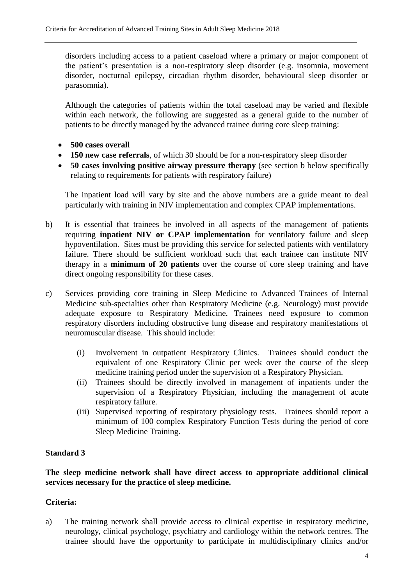disorders including access to a patient caseload where a primary or major component of the patient's presentation is a non-respiratory sleep disorder (e.g. insomnia, movement disorder, nocturnal epilepsy, circadian rhythm disorder, behavioural sleep disorder or parasomnia).

Although the categories of patients within the total caseload may be varied and flexible within each network, the following are suggested as a general guide to the number of patients to be directly managed by the advanced trainee during core sleep training:

- **500 cases overall**
- **150 new case referrals**, of which 30 should be for a non-respiratory sleep disorder
- **50 cases involving positive airway pressure therapy** (see section b below specifically relating to requirements for patients with respiratory failure)

The inpatient load will vary by site and the above numbers are a guide meant to deal particularly with training in NIV implementation and complex CPAP implementations.

- b) It is essential that trainees be involved in all aspects of the management of patients requiring **inpatient NIV or CPAP implementation** for ventilatory failure and sleep hypoventilation. Sites must be providing this service for selected patients with ventilatory failure. There should be sufficient workload such that each trainee can institute NIV therapy in a **minimum of 20 patients** over the course of core sleep training and have direct ongoing responsibility for these cases.
- c) Services providing core training in Sleep Medicine to Advanced Trainees of Internal Medicine sub-specialties other than Respiratory Medicine (e.g. Neurology) must provide adequate exposure to Respiratory Medicine. Trainees need exposure to common respiratory disorders including obstructive lung disease and respiratory manifestations of neuromuscular disease. This should include:
	- (i) Involvement in outpatient Respiratory Clinics. Trainees should conduct the equivalent of one Respiratory Clinic per week over the course of the sleep medicine training period under the supervision of a Respiratory Physician.
	- (ii) Trainees should be directly involved in management of inpatients under the supervision of a Respiratory Physician, including the management of acute respiratory failure.
	- (iii) Supervised reporting of respiratory physiology tests. Trainees should report a minimum of 100 complex Respiratory Function Tests during the period of core Sleep Medicine Training.

# **Standard 3**

# **The sleep medicine network shall have direct access to appropriate additional clinical services necessary for the practice of sleep medicine.**

# **Criteria:**

a) The training network shall provide access to clinical expertise in respiratory medicine, neurology, clinical psychology, psychiatry and cardiology within the network centres. The trainee should have the opportunity to participate in multidisciplinary clinics and/or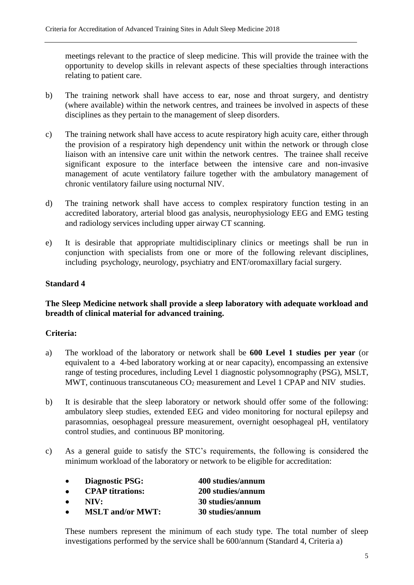meetings relevant to the practice of sleep medicine. This will provide the trainee with the opportunity to develop skills in relevant aspects of these specialties through interactions relating to patient care.

- b) The training network shall have access to ear, nose and throat surgery, and dentistry (where available) within the network centres, and trainees be involved in aspects of these disciplines as they pertain to the management of sleep disorders.
- c) The training network shall have access to acute respiratory high acuity care, either through the provision of a respiratory high dependency unit within the network or through close liaison with an intensive care unit within the network centres. The trainee shall receive significant exposure to the interface between the intensive care and non-invasive management of acute ventilatory failure together with the ambulatory management of chronic ventilatory failure using nocturnal NIV.
- d) The training network shall have access to complex respiratory function testing in an accredited laboratory, arterial blood gas analysis, neurophysiology EEG and EMG testing and radiology services including upper airway CT scanning.
- e) It is desirable that appropriate multidisciplinary clinics or meetings shall be run in conjunction with specialists from one or more of the following relevant disciplines, including psychology, neurology, psychiatry and ENT/oromaxillary facial surgery.

### **Standard 4**

# **The Sleep Medicine network shall provide a sleep laboratory with adequate workload and breadth of clinical material for advanced training.**

# **Criteria:**

- a) The workload of the laboratory or network shall be **600 Level 1 studies per year** (or equivalent to a 4-bed laboratory working at or near capacity), encompassing an extensive range of testing procedures, including Level 1 diagnostic polysomnography (PSG), MSLT, MWT, continuous transcutaneous  $CO<sub>2</sub>$  measurement and Level 1 CPAP and NIV studies.
- b) It is desirable that the sleep laboratory or network should offer some of the following: ambulatory sleep studies, extended EEG and video monitoring for noctural epilepsy and parasomnias, oesophageal pressure measurement, overnight oesophageal pH, ventilatory control studies, and continuous BP monitoring.
- c) As a general guide to satisfy the STC's requirements, the following is considered the minimum workload of the laboratory or network to be eligible for accreditation:

| $\bullet$ | <b>Diagnostic PSG:</b>  | 400 studies/annum |
|-----------|-------------------------|-------------------|
| $\bullet$ | <b>CPAP</b> titrations: | 200 studies/annum |
| $\bullet$ | NIV:                    | 30 studies/annum  |
| $\bullet$ | <b>MSLT</b> and/or MWT: | 30 studies/annum  |

These numbers represent the minimum of each study type. The total number of sleep investigations performed by the service shall be 600/annum (Standard 4, Criteria a)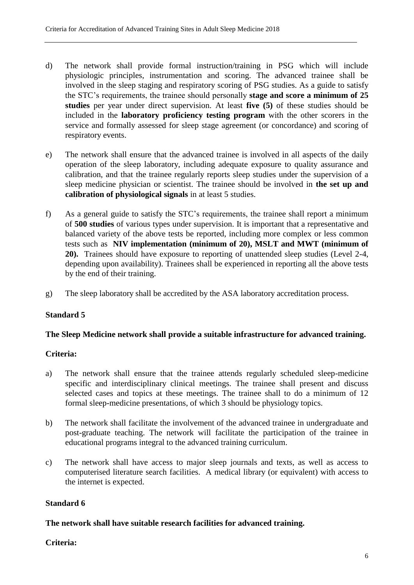- d) The network shall provide formal instruction/training in PSG which will include physiologic principles, instrumentation and scoring. The advanced trainee shall be involved in the sleep staging and respiratory scoring of PSG studies. As a guide to satisfy the STC's requirements, the trainee should personally **stage and score a minimum of 25 studies** per year under direct supervision. At least **five (5)** of these studies should be included in the **laboratory proficiency testing program** with the other scorers in the service and formally assessed for sleep stage agreement (or concordance) and scoring of respiratory events.
- e) The network shall ensure that the advanced trainee is involved in all aspects of the daily operation of the sleep laboratory, including adequate exposure to quality assurance and calibration, and that the trainee regularly reports sleep studies under the supervision of a sleep medicine physician or scientist. The trainee should be involved in **the set up and calibration of physiological signals** in at least 5 studies.
- f) As a general guide to satisfy the STC's requirements, the trainee shall report a minimum of **500 studies** of various types under supervision. It is important that a representative and balanced variety of the above tests be reported, including more complex or less common tests such as **NIV implementation (minimum of 20), MSLT and MWT (minimum of 20).** Trainees should have exposure to reporting of unattended sleep studies (Level 2-4, depending upon availability). Trainees shall be experienced in reporting all the above tests by the end of their training.
- g) The sleep laboratory shall be accredited by the ASA laboratory accreditation process.

# **Standard 5**

#### **The Sleep Medicine network shall provide a suitable infrastructure for advanced training.**

#### **Criteria:**

- a) The network shall ensure that the trainee attends regularly scheduled sleep-medicine specific and interdisciplinary clinical meetings. The trainee shall present and discuss selected cases and topics at these meetings. The trainee shall to do a minimum of 12 formal sleep-medicine presentations, of which 3 should be physiology topics.
- b) The network shall facilitate the involvement of the advanced trainee in undergraduate and post-graduate teaching. The network will facilitate the participation of the trainee in educational programs integral to the advanced training curriculum.
- c) The network shall have access to major sleep journals and texts, as well as access to computerised literature search facilities. A medical library (or equivalent) with access to the internet is expected.

#### **Standard 6**

#### **The network shall have suitable research facilities for advanced training.**

#### **Criteria:**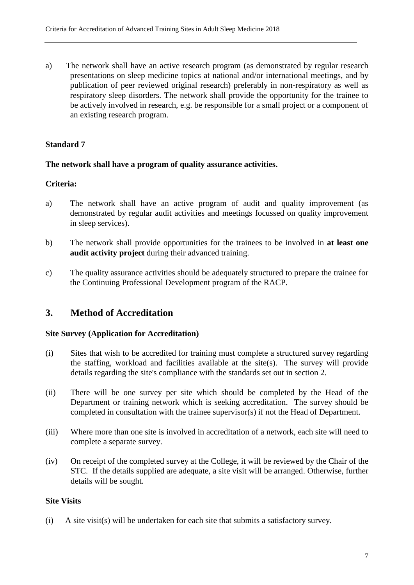a) The network shall have an active research program (as demonstrated by regular research presentations on sleep medicine topics at national and/or international meetings, and by publication of peer reviewed original research) preferably in non-respiratory as well as respiratory sleep disorders. The network shall provide the opportunity for the trainee to be actively involved in research, e.g. be responsible for a small project or a component of an existing research program.

### **Standard 7**

#### **The network shall have a program of quality assurance activities.**

#### **Criteria:**

- a) The network shall have an active program of audit and quality improvement (as demonstrated by regular audit activities and meetings focussed on quality improvement in sleep services).
- b) The network shall provide opportunities for the trainees to be involved in **at least one audit activity project** during their advanced training.
- c) The quality assurance activities should be adequately structured to prepare the trainee for the Continuing Professional Development program of the RACP.

# **3. Method of Accreditation**

#### **Site Survey (Application for Accreditation)**

- (i) Sites that wish to be accredited for training must complete a structured survey regarding the staffing, workload and facilities available at the site(s). The survey will provide details regarding the site's compliance with the standards set out in section 2.
- (ii) There will be one survey per site which should be completed by the Head of the Department or training network which is seeking accreditation. The survey should be completed in consultation with the trainee supervisor(s) if not the Head of Department.
- (iii) Where more than one site is involved in accreditation of a network, each site will need to complete a separate survey.
- (iv) On receipt of the completed survey at the College, it will be reviewed by the Chair of the STC. If the details supplied are adequate, a site visit will be arranged. Otherwise, further details will be sought.

#### **Site Visits**

(i) A site visit(s) will be undertaken for each site that submits a satisfactory survey.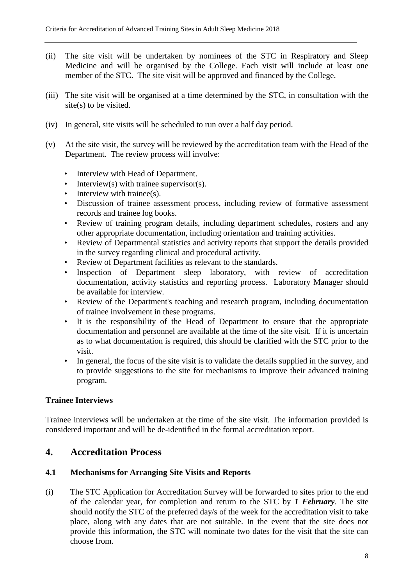- (ii) The site visit will be undertaken by nominees of the STC in Respiratory and Sleep Medicine and will be organised by the College. Each visit will include at least one member of the STC. The site visit will be approved and financed by the College.
- (iii) The site visit will be organised at a time determined by the STC, in consultation with the site(s) to be visited.
- (iv) In general, site visits will be scheduled to run over a half day period.
- (v) At the site visit, the survey will be reviewed by the accreditation team with the Head of the Department. The review process will involve:
	- Interview with Head of Department.
	- Interview(s) with trainee supervisor(s).
	- Interview with trainee(s).
	- Discussion of trainee assessment process, including review of formative assessment records and trainee log books.
	- Review of training program details, including department schedules, rosters and any other appropriate documentation, including orientation and training activities.
	- Review of Departmental statistics and activity reports that support the details provided in the survey regarding clinical and procedural activity.
	- Review of Department facilities as relevant to the standards.
	- Inspection of Department sleep laboratory, with review of accreditation documentation, activity statistics and reporting process. Laboratory Manager should be available for interview.
	- Review of the Department's teaching and research program, including documentation of trainee involvement in these programs.
	- It is the responsibility of the Head of Department to ensure that the appropriate documentation and personnel are available at the time of the site visit. If it is uncertain as to what documentation is required, this should be clarified with the STC prior to the visit.
	- In general, the focus of the site visit is to validate the details supplied in the survey, and to provide suggestions to the site for mechanisms to improve their advanced training program.

#### **Trainee Interviews**

Trainee interviews will be undertaken at the time of the site visit. The information provided is considered important and will be de-identified in the formal accreditation report.

# **4. Accreditation Process**

# **4.1 Mechanisms for Arranging Site Visits and Reports**

(i) The STC Application for Accreditation Survey will be forwarded to sites prior to the end of the calendar year, for completion and return to the STC by *1 February*. The site should notify the STC of the preferred day/s of the week for the accreditation visit to take place, along with any dates that are not suitable. In the event that the site does not provide this information, the STC will nominate two dates for the visit that the site can choose from.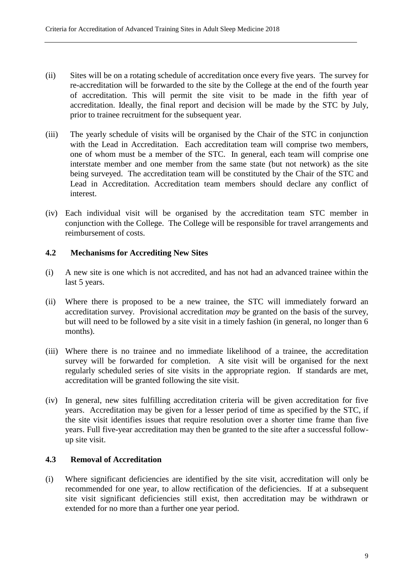- (ii) Sites will be on a rotating schedule of accreditation once every five years. The survey for re-accreditation will be forwarded to the site by the College at the end of the fourth year of accreditation. This will permit the site visit to be made in the fifth year of accreditation. Ideally, the final report and decision will be made by the STC by July, prior to trainee recruitment for the subsequent year.
- (iii) The yearly schedule of visits will be organised by the Chair of the STC in conjunction with the Lead in Accreditation. Each accreditation team will comprise two members, one of whom must be a member of the STC. In general, each team will comprise one interstate member and one member from the same state (but not network) as the site being surveyed. The accreditation team will be constituted by the Chair of the STC and Lead in Accreditation. Accreditation team members should declare any conflict of interest.
- (iv) Each individual visit will be organised by the accreditation team STC member in conjunction with the College. The College will be responsible for travel arrangements and reimbursement of costs.

#### **4.2 Mechanisms for Accrediting New Sites**

- (i) A new site is one which is not accredited, and has not had an advanced trainee within the last 5 years.
- (ii) Where there is proposed to be a new trainee, the STC will immediately forward an accreditation survey. Provisional accreditation *may* be granted on the basis of the survey, but will need to be followed by a site visit in a timely fashion (in general, no longer than 6 months).
- (iii) Where there is no trainee and no immediate likelihood of a trainee, the accreditation survey will be forwarded for completion. A site visit will be organised for the next regularly scheduled series of site visits in the appropriate region. If standards are met, accreditation will be granted following the site visit.
- (iv) In general, new sites fulfilling accreditation criteria will be given accreditation for five years. Accreditation may be given for a lesser period of time as specified by the STC, if the site visit identifies issues that require resolution over a shorter time frame than five years. Full five-year accreditation may then be granted to the site after a successful followup site visit.

# **4.3 Removal of Accreditation**

(i) Where significant deficiencies are identified by the site visit, accreditation will only be recommended for one year, to allow rectification of the deficiencies. If at a subsequent site visit significant deficiencies still exist, then accreditation may be withdrawn or extended for no more than a further one year period.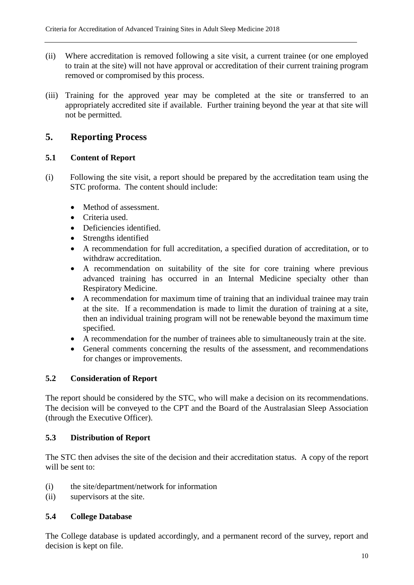- (ii) Where accreditation is removed following a site visit, a current trainee (or one employed to train at the site) will not have approval or accreditation of their current training program removed or compromised by this process.
- (iii) Training for the approved year may be completed at the site or transferred to an appropriately accredited site if available. Further training beyond the year at that site will not be permitted.

# **5. Reporting Process**

# **5.1 Content of Report**

- (i) Following the site visit, a report should be prepared by the accreditation team using the STC proforma. The content should include:
	- Method of assessment.
	- Criteria used.
	- Deficiencies identified.
	- Strengths identified
	- A recommendation for full accreditation, a specified duration of accreditation, or to withdraw accreditation.
	- A recommendation on suitability of the site for core training where previous advanced training has occurred in an Internal Medicine specialty other than Respiratory Medicine.
	- A recommendation for maximum time of training that an individual trainee may train at the site. If a recommendation is made to limit the duration of training at a site, then an individual training program will not be renewable beyond the maximum time specified.
	- A recommendation for the number of trainees able to simultaneously train at the site.
	- General comments concerning the results of the assessment, and recommendations for changes or improvements.

# **5.2 Consideration of Report**

The report should be considered by the STC, who will make a decision on its recommendations. The decision will be conveyed to the CPT and the Board of the Australasian Sleep Association (through the Executive Officer).

#### **5.3 Distribution of Report**

The STC then advises the site of the decision and their accreditation status. A copy of the report will be sent to:

- (i) the site/department/network for information
- (ii) supervisors at the site.

# **5.4 College Database**

The College database is updated accordingly, and a permanent record of the survey, report and decision is kept on file.